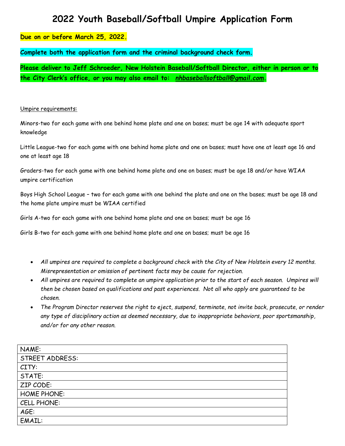## **2022 Youth Baseball/Softball Umpire Application Form**

## **Due on or before March 25, 2022***.*

**Complete both the application form and the criminal background check form.** 

**Please deliver to Jeff Schroeder, New Holstein Baseball/Softball Director, either in person or to the City Clerk's office, or you may also email to:** *[nhbaseballsoftball@gmail.com](mailto:nhbaseballsoftball@gmail.com)***.**

## Umpire requirements:

Minors-two for each game with one behind home plate and one on bases; must be age 14 with adequate sport knowledge

Little League-two for each game with one behind home plate and one on bases; must have one at least age 16 and one at least age 18

Graders-two for each game with one behind home plate and one on bases; must be age 18 and/or have WIAA umpire certification

Boys High School League – two for each game with one behind the plate and one on the bases; must be age 18 and the home plate umpire must be WIAA certified

Girls A-two for each game with one behind home plate and one on bases; must be age 16

Girls B-two for each game with one behind home plate and one on bases; must be age 16

- *All umpires are required to complete a background check with the City of New Holstein every 12 months. Misrepresentation or omission of pertinent facts may be cause for rejection.*
- *All umpires are required to complete an umpire application prior to the start of each season. Umpires will then be chosen based on qualifications and past experiences. Not all who apply are guaranteed to be chosen.*
- *The Program Director reserves the right to eject, suspend, terminate, not invite back, prosecute, or render any type of disciplinary action as deemed necessary, due to inappropriate behaviors, poor sportsmanship, and/or for any other reason.*

| NAME:                  |
|------------------------|
| <b>STREET ADDRESS:</b> |
| CITY:                  |
| STATE:                 |
| ZIP CODE:              |
| <b>HOME PHONE:</b>     |
| CELL PHONE:            |
| AGE:                   |
| EMAIL:                 |